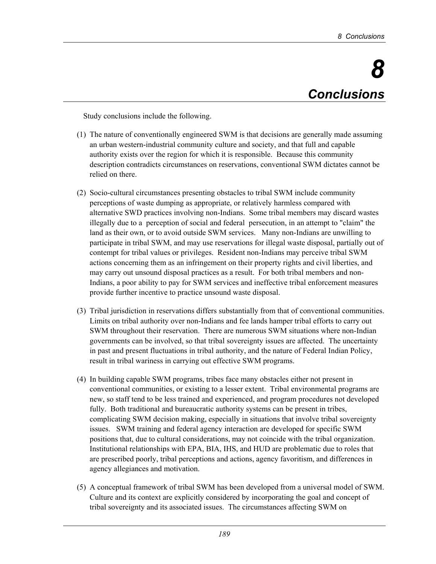Study conclusions include the following.

- (1) The nature of conventionally engineered SWM is that decisions are generally made assuming an urban western-industrial community culture and society, and that full and capable authority exists over the region for which it is responsible. Because this community description contradicts circumstances on reservations, conventional SWM dictates cannot be relied on there.
- (2) Socio-cultural circumstances presenting obstacles to tribal SWM include community perceptions of waste dumping as appropriate, or relatively harmless compared with alternative SWD practices involving non-Indians. Some tribal members may discard wastes illegally due to a perception of social and federal persecution, in an attempt to "claim" the land as their own, or to avoid outside SWM services. Many non-Indians are unwilling to participate in tribal SWM, and may use reservations for illegal waste disposal, partially out of contempt for tribal values or privileges. Resident non-Indians may perceive tribal SWM actions concerning them as an infringement on their property rights and civil liberties, and may carry out unsound disposal practices as a result. For both tribal members and non-Indians, a poor ability to pay for SWM services and ineffective tribal enforcement measures provide further incentive to practice unsound waste disposal.
- (3) Tribal jurisdiction in reservations differs substantially from that of conventional communities. Limits on tribal authority over non-Indians and fee lands hamper tribal efforts to carry out SWM throughout their reservation. There are numerous SWM situations where non-Indian governments can be involved, so that tribal sovereignty issues are affected. The uncertainty in past and present fluctuations in tribal authority, and the nature of Federal Indian Policy, result in tribal wariness in carrying out effective SWM programs.
- (4) In building capable SWM programs, tribes face many obstacles either not present in conventional communities, or existing to a lesser extent. Tribal environmental programs are new, so staff tend to be less trained and experienced, and program procedures not developed fully. Both traditional and bureaucratic authority systems can be present in tribes, complicating SWM decision making, especially in situations that involve tribal sovereignty issues. SWM training and federal agency interaction are developed for specific SWM positions that, due to cultural considerations, may not coincide with the tribal organization. Institutional relationships with EPA, BIA, IHS, and HUD are problematic due to roles that are prescribed poorly, tribal perceptions and actions, agency favoritism, and differences in agency allegiances and motivation.
- (5) A conceptual framework of tribal SWM has been developed from a universal model of SWM. Culture and its context are explicitly considered by incorporating the goal and concept of tribal sovereignty and its associated issues. The circumstances affecting SWM on